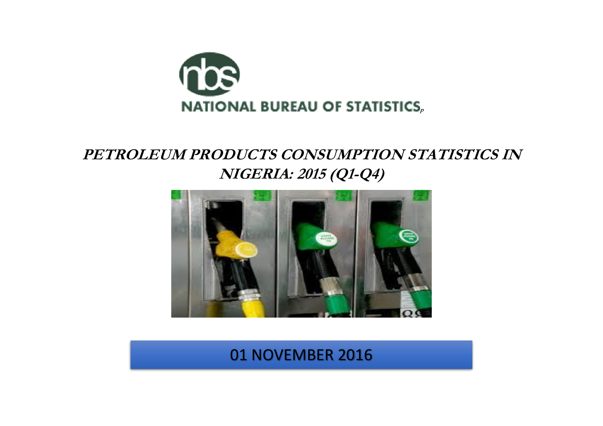

## **PETROLEUM PRODUCTS CONSUMPTION STATISTICS IN NIGERIA: 2015 (Q1-Q4)**



01 NOVEMBER 2016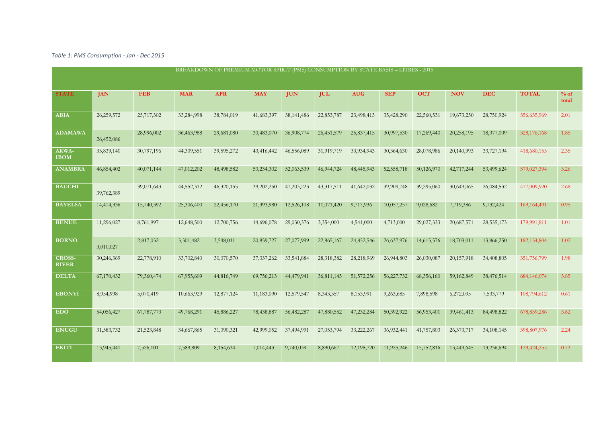*Table 1: PMS Consumption - Jan - Dec 2015*

|                               |            |            |            | BREAKDOWN OF PREMIUM MOTOR SPIRIT (PMS) CONSUMPTION BY STATE BASIS - LITRES - 2015 |              |              |            |              |            |            |              |              |               |                 |
|-------------------------------|------------|------------|------------|------------------------------------------------------------------------------------|--------------|--------------|------------|--------------|------------|------------|--------------|--------------|---------------|-----------------|
| <b>STATE</b>                  | <b>JAN</b> | <b>FEB</b> | <b>MAR</b> | <b>APR</b>                                                                         | <b>MAY</b>   | <b>JUN</b>   | <b>JUL</b> | <b>AUG</b>   | <b>SEP</b> | <b>OCT</b> | <b>NOV</b>   | <b>DEC</b>   | <b>TOTAL</b>  | $%$ of<br>total |
| <b>ABIA</b>                   | 26,259,572 | 25,717,302 | 33,284,998 | 38,784,019                                                                         | 41,683,397   | 38, 141, 486 | 22,853,787 | 23,498,413   | 35,428,290 | 22,560,531 | 19,673,250   | 28,750,924   | 356,635,969   | 2.01            |
| <b>ADAMAWA</b>                | 26,452,086 | 28,996,002 | 36,463,988 | 29,681,080                                                                         | 30,483,070   | 36,908,774   | 26,451,579 | 25,837,415   | 30,997,530 | 17,269,440 | 20,258,195   | 18,377,009   | 328,176,168   | 1.85            |
| AKWA-<br><b>IBOM</b>          | 35,839,140 | 30,797,196 | 44,309,551 | 39,595,272                                                                         | 43,416,442   | 46,556,089   | 31,919,719 | 33,934,943   | 30,364,630 | 28,078,986 | 20,140,993   | 33,727,194   | 418,680,155   | 2.35            |
| <b>ANAMBRA</b>                | 46,854,402 | 40,071,144 | 47,012,202 | 48,498,582                                                                         | 50,234,302   | 52,063,539   | 46,944,724 | 48, 445, 943 | 52,558,718 | 50,126,970 | 42,717,244   | 53,499,624   | 579,027,394   | 3.26            |
| <b>BAUCHI</b>                 | 39,762,389 | 39,071,643 | 44,552,312 | 46,320,155                                                                         | 39,202,250   | 47,203,223   | 43,317,511 | 41,642,032   | 39,909,748 | 39,295,060 | 30,649,065   | 26,084,532   | 477,009,920   | 2.68            |
| <b>BAYELSA</b>                | 14,414,336 | 15,740,392 | 25,306,400 | 22,456,170                                                                         | 21,393,980   | 12,526,108   | 11,071,420 | 9,717,936    | 10,057,257 | 9,028,682  | 7,719,386    | 9,732,424    | 169, 164, 491 | 0.95            |
| <b>BENUE</b>                  | 11,296,027 | 8,761,997  | 12,648,500 | 12,700,756                                                                         | 14,696,078   | 29,030,376   | 3,354,000  | 4,541,000    | 4,713,000  | 29,027,333 | 20,687,571   | 28, 535, 173 | 179,991,811   | 1.01            |
| <b>BORNO</b>                  | 3,010,027  | 2,817,032  | 3,301,482  | 3,548,011                                                                          | 20,859,727   | 27,077,999   | 22,865,167 | 24,852,546   | 26,637,976 | 14,615,576 | 18,703,011   | 13,866,250   | 182,154,804   | 1.02            |
| <b>CROSS-</b><br><b>RIVER</b> | 30,246,369 | 22,778,910 | 33,702,840 | 30,070,570                                                                         | 37, 337, 262 | 33,541,884   | 28,318,382 | 28,218,969   | 26,944,803 | 26,030,087 | 20,157,918   | 34,408,805   | 351,756,799   | 1.98            |
| <b>DELTA</b>                  | 67,170,432 | 79,360,474 | 67,955,609 | 44,816,749                                                                         | 69,756,213   | 44,479,941   | 36,811,145 | 51, 572, 256 | 56,227,732 | 68,356,160 | 59,162,849   | 38,476,514   | 684,146,074   | 3.85            |
| <b>EBONYI</b>                 | 8,954,998  | 5,070,419  | 10,663,929 | 12,877,124                                                                         | 11,183,090   | 12,579,547   | 8,343,357  | 8,153,991    | 9,263,685  | 7,898,598  | 6,272,095    | 7,533,779    | 108,794,612   | 0.61            |
| <b>EDO</b>                    | 54,056,427 | 67,787,773 | 49,768,291 | 45,886,227                                                                         | 78,438,887   | 56,482,287   | 47,880,552 | 47,232,284   | 50,392,922 | 56,953,401 | 39,461,413   | 84,498,822   | 678,839,286   | 3.82            |
| <b>ENUGU</b>                  | 31,583,732 | 21,523,848 | 34,667,865 | 31,090,321                                                                         | 42,999,052   | 37,494,991   | 27,053,794 | 33,222,267   | 36,932,441 | 41,757,803 | 26, 373, 717 | 34, 108, 145 | 398,807,976   | 2.24            |
| <b>EKITI</b>                  | 13,945,441 | 7,526,101  | 7,589,809  | 8,154,634                                                                          | 7,014,443    | 9,740,039    | 8,890,667  | 12,198,720   | 11,925,246 | 15,752,816 | 13,449,645   | 13,236,694   | 129,424,255   | 0.73            |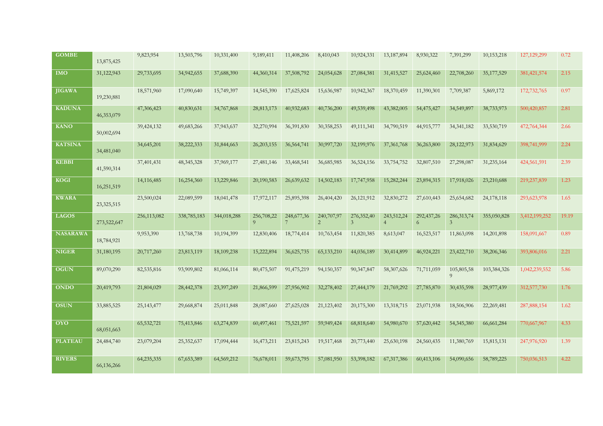| <b>GOMBE</b>    | 13,875,425  | 9,823,954    | 13,503,796   | 10,331,400  | 9,189,411           | 11,408,206                      | 8,410,043                 | 10,924,331                   | 13,187,894                   | 8,930,322       | 7,391,299                      | 10,153,218   | 127, 129, 299 | 0.72  |
|-----------------|-------------|--------------|--------------|-------------|---------------------|---------------------------------|---------------------------|------------------------------|------------------------------|-----------------|--------------------------------|--------------|---------------|-------|
| <b>IMO</b>      | 31,122,943  | 29,733,695   | 34,942,655   | 37,688,390  | 44,360,314          | 37,508,792                      | 24,054,628                | 27,084,381                   | 31,415,527                   | 25,624,460      | 22,708,260                     | 35, 177, 529 | 381,421,574   | 2.15  |
| <b>JIGAWA</b>   | 19,230,881  | 18,571,960   | 17,090,640   | 15,749,397  | 14,545,390          | 17,625,824                      | 15,636,987                | 10,942,367                   | 18,370,459                   | 11,390,301      | 7,709,387                      | 5,869,172    | 172,732,765   | 0.97  |
| <b>KADUNA</b>   | 46,353,079  | 47,306,423   | 40,830,631   | 34,767,868  | 28,813,173          | 40,932,683                      | 40,736,200                | 49,539,498                   | 43,382,005                   | 54,475,427      | 34,549,897                     | 38,733,973   | 500,420,857   | 2.81  |
| <b>KANO</b>     | 50,002,694  | 39,424,132   | 49,683,266   | 37,943,637  | 32,270,994          | 36,391,830                      | 30,358,253                | 49,111,341                   | 34,790,519                   | 44,915,777      | 34, 341, 182                   | 33,530,719   | 472,764,344   | 2.66  |
| <b>KATSINA</b>  | 34,481,040  | 34,645,201   | 38,222,333   | 31,844,663  | 26,203,155          | 36,564,741                      | 30,997,720                | 32,199,976                   | 37, 361, 768                 | 36,263,800      | 28,122,973                     | 31,834,629   | 398,741,999   | 2.24  |
| <b>KEBBI</b>    | 41,590,314  | 37,401,431   | 48, 345, 328 | 37,969,177  | 27,481,146          | 33,468,541                      | 36,685,985                | 36,524,156                   | 33,754,752                   | 32,807,510      | 27,298,087                     | 31,235,164   | 424,561,591   | 2.39  |
| KOGI            | 16,251,519  | 14,116,485   | 16,254,360   | 13,229,846  | 20,190,583          | 26,639,632                      | 14,502,183                | 17,747,958                   | 15,282,244                   | 23,894,315      | 17,918,026                     | 23,210,688   | 219,237,839   | 1.23  |
| <b>KWARA</b>    | 23,325,515  | 23,500,024   | 22,089,599   | 18,041,478  | 17,972,117          | 25,895,398                      | 26,404,420                | 26,121,912                   | 32,830,272                   | 27,610,443      | 25,654,682                     | 24, 178, 118 | 293,623,978   | 1.65  |
| <b>LAGOS</b>    | 273,522,647 | 256,113,082  | 338,785,183  | 344,018,288 | 256,708,22<br>$9-1$ | 248, 677, 36<br>$7\overline{ }$ | 240,707,97<br>$2^{\circ}$ | 276,352,40<br>$\overline{3}$ | 243,512,24<br>$\overline{4}$ | 292,437,26<br>6 | 286, 313, 74<br>$\mathfrak{Z}$ | 355,050,828  | 3,412,199,252 | 19.19 |
| <b>NASARAWA</b> | 18,784,921  | 9,953,390    | 13,768,738   | 10,194,399  | 12,830,406          | 18,774,414                      | 10,763,454                | 11,820,385                   | 8,613,047                    | 16,523,517      | 11,863,098                     | 14,201,898   | 158,091,667   | 0.89  |
| <b>NIGER</b>    | 31,180,195  | 20,717,260   | 23,813,119   | 18,109,238  | 15,222,894          | 36,625,735                      | 65, 133, 210              | 44,036,189                   | 30,414,899                   | 46,924,221      | 23,422,710                     | 38,206,346   | 393,806,016   | 2.21  |
| <b>OGUN</b>     | 89,070,290  | 82,535,816   | 93,909,802   | 81,066,114  | 80,475,507          | 91,475,219                      | 94,150,357                | 90,347,847                   | 58,307,626                   | 71,711,059      | 105,805,58<br>$\overline{Q}$   | 103,384,326  | 1,042,239,552 | 5.86  |
| <b>ONDO</b>     | 20,419,793  | 21,804,029   | 28,442,378   | 23,397,249  | 21,866,599          | 27,956,902                      | 32,278,402                | 27,444,179                   | 21,769,292                   | 27,785,870      | 30,435,598                     | 28,977,439   | 312,577,730   | 1.76  |
| <b>OSUN</b>     | 33,885,525  | 25, 143, 477 | 29,668,874   | 25,011,848  | 28,087,660          | 27,625,028                      | 21,123,402                | 20,175,300                   | 13,318,715                   | 23,071,938      | 18,506,906                     | 22,269,481   | 287,888,154   | 1.62  |
| <b>OYO</b>      | 68,051,663  | 65,532,721   | 75,413,846   | 63,274,839  | 60,497,461          | 75,521,597                      | 59,949,424                | 68,818,640                   | 54,980,670                   | 57,620,442      | 54, 345, 380                   | 66,661,284   | 770,667,967   | 4.33  |
| <b>PLATEAU</b>  | 24,484,740  | 23,079,204   | 25,352,637   | 17,094,444  | 16,473,211          | 23,815,243                      | 19,517,468                | 20,773,440                   | 25,630,198                   | 24,560,435      | 11,380,769                     | 15,815,131   | 247,976,920   | 1.39  |
| <b>RIVERS</b>   | 66,136,266  | 64,235,335   | 67,653,389   | 64,569,212  | 76,678,011          | 59,673,795                      | 57,081,950                | 53,398,182                   | 67,317,386                   | 60,413,106      | 54,090,656                     | 58,789,225   | 750,036,513   | 4.22  |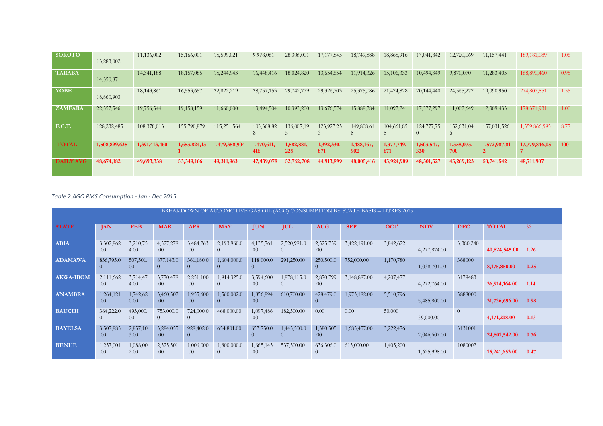| <b>SOKOTO</b>    | 13,283,002    | 11,136,002    | 15,166,001   | 15,599,021    | 9,978,061         | 28,306,001        | 17, 177, 845      | 18,749,888        | 18,865,916        | 17,041,842           | 12,720,069             | 11, 157, 441 | 189, 181, 089 | 1.06       |
|------------------|---------------|---------------|--------------|---------------|-------------------|-------------------|-------------------|-------------------|-------------------|----------------------|------------------------|--------------|---------------|------------|
| <b>TARABA</b>    | 14,350,871    | 14, 341, 188  | 18,157,085   | 15,244,943    | 16,448,416        | 18,024,820        | 13,654,654        | 11,914,326        | 15,106,333        | 10,494,349           | 9,870,070              | 11,283,405   | 168,890,460   | 0.95       |
| <b>YOBE</b>      | 18,860,903    | 18,143,861    | 16,553,657   | 22,822,219    | 28,757,153        | 29,742,779        | 29,326,703        | 25,375,086        | 21,424,828        | 20,144,440           | 24,565,272             | 19,090,950   | 274,807,851   | 1.55       |
| <b>ZAMFARA</b>   | 22,557,546    | 19,756,544    | 19,158,159   | 11,660,000    | 13,494,504        | 10,393,200        | 13,676,574        | 15,888,784        | 11,097,241        | 17,377,297           | 11,002,649             | 12,309,433   | 178,371,931   | 1.00       |
| <b>F.C.T.</b>    | 128, 232, 485 | 108,378,013   | 155,790,879  | 115,251,564   | 103,368,82<br>8   | 136,007,19        | 123,927,23        | 149,808,61<br>8   | 104,661,85        | 124,777,75<br>$\cup$ | 152,631,04<br>$\Omega$ | 157,031,526  | 1,559,866,995 | 8.77       |
| <b>TOTAL</b>     | 1,508,899,635 | 1,391,413,460 | 1,653,824,13 | 1,479,358,904 | 1,470,611,<br>416 | 1,582,881,<br>225 | 1,392,330,<br>871 | 1,488,167,<br>902 | 1,377,749,<br>671 | 1,503,547,<br>330    | 1,358,073,<br>700      | 1,572,987,81 | 17,779,846,05 | <b>100</b> |
| <b>DAILY AVG</b> | 48,674,182    | 49,693,338    | 53,349,166   | 49,311,963    | 47,439,078        | 52,762,708        | 44,913,899        | 48,005,416        | 45,924,989        | 48,501,527           | 45,269,123             | 50,741,542   | 48,711,907    |            |

*Table 2:AGO PMS Consumption - Jan - Dec 2015*

|                  |                       |                    |                       |                   |                               |                  |                         |                   | BREAKDOWN OF AUTOMOTIVE GAS OIL (AGO) CONSUMPTION BY STATE BASIS – LITRES 2015 |            |              |            |               |               |
|------------------|-----------------------|--------------------|-----------------------|-------------------|-------------------------------|------------------|-------------------------|-------------------|--------------------------------------------------------------------------------|------------|--------------|------------|---------------|---------------|
| <b>STATE</b>     | <b>JAN</b>            | <b>FEB</b>         | <b>MAR</b>            | <b>APR</b>        | <b>MAY</b>                    | <b>JUN</b>       | <b>JUL</b>              | <b>AUG</b>        | <b>SEP</b>                                                                     | <b>OCT</b> | <b>NOV</b>   | <b>DEC</b> | <b>TOTAL</b>  | $\frac{0}{0}$ |
| <b>ABIA</b>      | 3,302,862<br>.00      | 3,210,75<br>4.00   | 4,527,278<br>.00      | 3,484,263<br>.00. | 2,193,960.0<br>$\theta$       | 4,135,761<br>.00 | 2,520,981.0<br>$\theta$ | 2,525,759<br>.00. | 3,422,191.00                                                                   | 3,842,622  | 4,277,874.00 | 3,380,240  | 40,824,545.00 | 1.26          |
| <b>ADAMAWA</b>   | 836,795.0<br>$\Omega$ | 507,501.<br>$00\,$ | 877,143.0<br>$\Omega$ | 361,180.0         | 1,604,000.0<br>$\Omega$       | 118,000.0        | 291,250.00              | 250,500.0         | 752,000.00                                                                     | 1,170,780  | 1,038,701.00 | 368000     | 8,175,850.00  | 0.25          |
| <b>AKWA-IBOM</b> | 2,111,662<br>.00.     | 3,714,47<br>4.00   | 3,770,478<br>.00      | 2,251,100<br>.00  | 1,914,325.0<br>$\Omega$       | 3,594,600<br>.00 | 1,878,115.0<br>$\Omega$ | 2,870,799<br>.00  | 3,148,887.00                                                                   | 4,207,477  | 4,272,764.00 | 3179483    | 36,914,164.00 | 1.14          |
| <b>ANAMBRA</b>   | 1,264,121<br>.00      | 1,742,62<br>0.00   | 3,460,502<br>.00      | 1,955,600<br>.00  | 1,560,002.0<br>$\overline{0}$ | 1,856,894<br>.00 | 610,700.00              | 428,479.0         | 1,973,182.00                                                                   | 5,510,796  | 5,485,800.00 | 5888000    | 31,736,696.00 | 0.98          |
| <b>BAUCHI</b>    | 364,222.0<br>$\theta$ | 493,000.<br>$00\,$ | 753,000.0<br>$\Omega$ | 724,000.0         | 468,000.00                    | 1,097,486<br>.00 | 182,500.00              | 0.00              | 0.00                                                                           | 50,000     | 39,000.00    | $\theta$   | 4,171,208.00  | 0.13          |
| <b>BAYELSA</b>   | 3,507,885<br>.00      | 2,857,10<br>3.00   | 3,284,055<br>.00      | 928,402.0         | 654,801.00                    | 657,750.0        | 1,445,500.0             | 1,380,505<br>.00  | 1,685,457.00                                                                   | 3,222,476  | 2,046,607.00 | 3131001    | 24,801,542.00 | 0.76          |
| <b>BENUE</b>     | 1,257,001<br>.00      | 1,088,00<br>2.00   | 2,525,501<br>.00      | 1,006,000<br>.00. | 1,800,000.0                   | 1,665,143<br>.00 | 537,500.00              | 636,306.0         | 615,000.00                                                                     | 1,405,200  | 1,625,998.00 | 1080002    | 15,241,653.00 | 0.47          |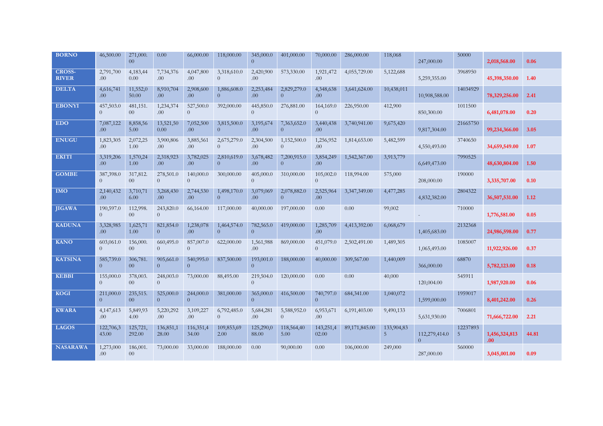| <b>BORNO</b>                  | 46,500.00                   | 271,000.<br>00 <sup>°</sup> | 0.00                        | 66,000.00                   | 118,000.00                    | 345,000.0<br>$\overline{0}$ | 401,000.00              | 70,000.00                     | 286,000.00    | 118,068                      | 247,000.00                      | 50000         | 2,018,568.00          | 0.06  |
|-------------------------------|-----------------------------|-----------------------------|-----------------------------|-----------------------------|-------------------------------|-----------------------------|-------------------------|-------------------------------|---------------|------------------------------|---------------------------------|---------------|-----------------------|-------|
| <b>CROSS-</b><br><b>RIVER</b> | 2,791,700<br>.00.           | 4,183,44<br>0.00            | 7,734,376<br>.00            | 4,047,800<br>.00.           | 3,318,610.0<br>$\overline{0}$ | 2,420,900<br>.00            | 573,330.00              | 1,921,472<br>.00.             | 4,055,729.00  | 5,122,688                    | 5,259,355.00                    | 3968950       | 45,398,350.00         | 1.40  |
| <b>DELTA</b>                  | 4,616,741<br>.00.           | 11,552,0<br>50.00           | 8,910,704<br>.00.           | 2,908,600<br>.00            | 1,886,608.0<br>$\theta$       | 2,253,484<br>.00            | 2,829,279.0<br>$\Omega$ | 4,348,638<br>.00              | 3,641,624.00  | 10,438,011                   | 10,908,588.00                   | 14034929      | 78,329,256.00         | 2.41  |
| <b>EBONYI</b>                 | 457,503.0<br>$\overline{0}$ | 481,151.<br>00 <sup>°</sup> | 1,234,374<br>.00            | 527,500.0<br>$\Omega$       | 392,000.00                    | 445,850.0<br>$\theta$       | 276,881.00              | 164,169.0<br>$\Omega$         | 226,950.00    | 412,900                      | 850,300.00                      | 1011500       | 6,481,078.00          | 0.20  |
| EDO                           | 7,087,122<br>.00            | 8,858,56<br>5.00            | 13,521,50<br>0.00           | 7,052,500<br>.00.           | 3,815,500.0<br>$\overline{0}$ | 3,195,674<br>.00            | 7,363,652.0<br>$\Omega$ | 3,440,438<br>.00.             | 3,740,941.00  | 9,675,420                    | 9,817,304.00                    | 21665750      | 99,234,366.00         | 3.05  |
| <b>ENUGU</b>                  | 1,823,305<br>.00            | 2,072,25<br>1.00            | 3,900,806<br>.00.           | 3,885,561<br>.00            | 2,675,279.0<br>$\Omega$       | 2,304,500<br>.00            | 1,152,500.0<br>$\Omega$ | 1,256,952<br>.00 <sub>1</sub> | 1,814,653.00  | 5,482,599                    | 4,550,493.00                    | 3740650       | 34,659,549.00         | 1.07  |
| <b>EKITI</b>                  | 3,319,206<br>.00            | 1,570,24<br>1.00            | 2,318,923<br>.00.           | 3,782,025<br>.00.           | 2,810,619.0<br>$\overline{0}$ | 3,678,482<br>.00            | 7,200,915.0<br>$\theta$ | 3,854,249<br>.00.             | 1,542,367.00  | 3,913,779                    | 6,649,473.00                    | 7990525       | 48,630,804.00         | 1.50  |
| <b>GOMBE</b>                  | 387,398.0<br>$\overline{0}$ | 317,812.<br>$00\,$          | 278,501.0<br>$\overline{0}$ | 140,000.0<br>$\Omega$       | 300,000.00                    | 405,000.0<br>$\overline{0}$ | 310,000.00              | 105,002.0<br>$\Omega$         | 118,994.00    | 575,000                      | 208,000.00                      | 190000        | 3,335,707.00          | 0.10  |
| <b>IMO</b>                    | 2,140,432<br>.00            | 3,710,71<br>6.00            | 3,268,430<br>.00            | 2,744,530<br>.00            | 1,498,170.0<br>$\overline{0}$ | 3,079,069<br>.00            | 2,078,882.0<br>$\theta$ | 2,525,964<br>.00              | 3,347,349.00  | 4,477,285                    | 4,832,382.00                    | 2804322       | 36,507,531.00         | 1.12  |
| <b>JIGAWA</b>                 | 190,597.0<br>$\overline{0}$ | 112,998.<br>$00\,$          | 243,820.0<br>$\Omega$       | 66,164.00                   | 117,000.00                    | 40,000.00                   | 197,000.00              | 0.00                          | 0.00          | 99,002                       |                                 | 710000        | 1,776,581.00          | 0.05  |
| <b>KADUNA</b>                 | 3,328,985<br>.00            | 1,625,71<br>1.00            | 821,854.0<br>$\theta$       | 1,238,078<br>.00            | 1,464,574.0<br>$\Omega$       | 782,565.0<br>$\overline{0}$ | 419,000.00              | 1,285,709<br>.00.             | 4,413,392.00  | 6,068,679                    | 1,405,683.00                    | 2132368       | 24,986,598.00         | 0.77  |
| <b>KANO</b>                   | 603,061.0<br>$\overline{0}$ | 156,000.<br>00 <sup>°</sup> | 660,495.0<br>$\theta$       | 857,007.0<br>$\theta$       | 622,000.00                    | 1,561,988<br>.00            | 869,000.00              | 451,079.0<br>$\Omega$         | 2,502,491.00  | 1,489,305                    | 1,065,493.00                    | 1085007       | 11,922,926.00         | 0.37  |
| <b>KATSINA</b>                | 585,739.0<br>$\overline{0}$ | 306,781.<br>00 <sup>°</sup> | 905,661.0<br>$\overline{0}$ | 540,995.0<br>$\overline{0}$ | 837,500.00                    | 193,001.0<br>$\overline{0}$ | 188,000.00              | 40,000,00                     | 309,567.00    | 1,440,009                    | 366,000.00                      | 68870         | 5,782,123.00          | 0.18  |
| <b>KEBBI</b>                  | 155,000.0<br>$\overline{0}$ | 378,003.<br>00 <sup>°</sup> | 248,003.0<br>$\overline{0}$ | 73,000.00                   | 88,495.00                     | 219,504.0<br>$\overline{0}$ | 120,000.00              | 0.00                          | 0.00          | 40,000                       | 120,004.00                      | 545911        | 1,987,920.00          | 0.06  |
| <b>KOGI</b>                   | 211,000.0<br>$\overline{0}$ | 235,515.<br>00 <sup>1</sup> | 525,000.0<br>$\theta$       | 244,000.0<br>$\theta$       | 381,000.00                    | 365,000.0<br>$\overline{0}$ | 416,500.00              | 740,797.0<br>$\Omega$         | 684,341.00    | 1,040,072                    | 1,599,000.00                    | 1959017       | 8,401,242.00          | 0.26  |
| <b>KWARA</b>                  | 4,147,613<br>.00            | 5,849,93<br>4.00            | 5,220,292<br>.00.           | 3,109,227<br>.00.           | 6,792,485.0<br>$\Omega$       | 5,684,281<br>.00            | 5,588,952.0<br>$\Omega$ | 6,953,671<br>.00              | 6,191,403.00  | 9,490,133                    | 5,631,930.00                    | 7006801       | 71,666,722.00         | 2.21  |
| <b>LAGOS</b>                  | 122,706,3<br>43.00          | 125,721,<br>292.00          | 136,851,1<br>28.00          | 116,351,4<br>34.00          | 109,853,69<br>2.00            | 125,290,0<br>88.00          | 118,564,40<br>5.00      | 143,251,4<br>02.00            | 89,171,845.00 | 133,904,83<br>5 <sup>1</sup> | 112,279,414.0<br>$\overline{0}$ | 12237893<br>5 | 1,456,324,813<br>.00. | 44.81 |
| <b>NASARAWA</b>               | 1,273,000<br>.00            | 186,001.<br>00 <sup>°</sup> | 73,000.00                   | 33,000.00                   | 188,000.00                    | 0.00                        | 90,000.00               | 0.00                          | 106,000.00    | 249,000                      | 287,000.00                      | 560000        | 3,045,001.00          | 0.09  |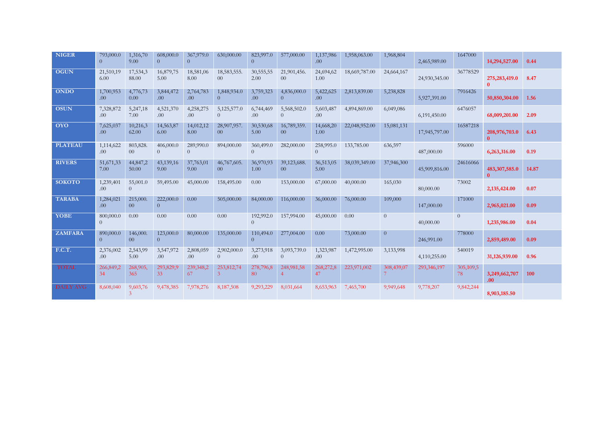| <b>NIGER</b>     | 793,000.0<br>$\overline{0}$ | 1,316,70<br>9.00            | 608,000.0<br>$\Omega$ | 367,979.0<br>$\overline{0}$ | 630,000.00                     | 823,997.0<br>$\theta$       | 577,000.00                     | 1,137,986<br>.00.             | 1,958,063.00  | 1,968,804                 | 2,465,989.00  | 1647000         | 14,294,527.00                     | 0.44  |
|------------------|-----------------------------|-----------------------------|-----------------------|-----------------------------|--------------------------------|-----------------------------|--------------------------------|-------------------------------|---------------|---------------------------|---------------|-----------------|-----------------------------------|-------|
| <b>OGUN</b>      | 21,510,19<br>6.00           | 17,534,3<br>88.00           | 16,879,75<br>5.00     | 18,581,06<br>8.00           | 18,583,555.<br>00 <sup>°</sup> | 30,555,55<br>2.00           | 21,901,456.<br>00 <sup>°</sup> | 24,694,62<br>1.00             | 18,669,787.00 | 24,664,167                | 24,930,345.00 | 36778529        | 275,283,419.0<br>$\mathbf{0}$     | 8.47  |
| <b>ONDO</b>      | 1,700,953<br>.00.           | 4,776,73<br>0.00            | 3,844,472<br>.00.     | 2,764,783<br>.00.           | 1,848,934.0<br>$\overline{0}$  | 3,759,323<br>.00.           | 4,836,000.0<br>$\overline{0}$  | 5,422,625<br>.00 <sub>1</sub> | 2,813,839.00  | 5,238,828                 | 5,927,391.00  | 7916426         | 50,850,304.00                     | 1.56  |
| <b>OSUN</b>      | 7,328,872<br>.00.           | 5,247,18<br>7.00            | 4,521,370<br>.00.     | 4,258,275<br>.00.           | 5,125,577.0<br>$\Omega$        | 6,744,469<br>.00            | 5,568,502.0<br>$\Omega$        | 5,603,487<br>.00.             | 4,894,869.00  | 6,049,086                 | 6,191,450.00  | 6476057         | 68,009,201.00                     | 2.09  |
| <b>OYO</b>       | 7,625,037<br>.00.           | 10,216,3<br>62.00           | 14,563,87<br>6.00     | 14,012,12<br>8.00           | 28,907,957.<br>00 <sup>°</sup> | 30,530,68<br>5.00           | 16,789,359.<br>00 <sup>°</sup> | 14,668,20<br>1.00             | 22,048,952.00 | 15,081,131                | 17,945,797.00 | 16587218        | 208,976,703.0<br>$\mathbf{0}$     | 6.43  |
| <b>PLATEAU</b>   | 1,114,622<br>.00.           | 803,828.<br>00 <sup>°</sup> | 406,000.0<br>$\theta$ | 289,990.0<br>$\overline{0}$ | 894,000.00                     | 360,499.0<br>$\overline{0}$ | 282,000.00                     | 258,995.0<br>$\overline{0}$   | 133,785.00    | 636,597                   | 487,000.00    | 596000          | 6,263,316.00                      | 0.19  |
| <b>RIVERS</b>    | 51,671,33<br>7.00           | 44,847,2<br>50.00           | 43,139,16<br>9.00     | 37,763,01<br>9.00           | 46,767,605.<br>00 <sup>1</sup> | 36,970,93<br>1.00           | 39,123,688.<br>00 <sup>°</sup> | 36,513,05<br>5.00             | 38,039,349.00 | 37,946,300                | 45,909,816.00 | 24616066        | 483,307,585.0                     | 14.87 |
| <b>SOKOTO</b>    | 1,239,401<br>.00.           | 55,001.0<br>$\theta$        | 59,495.00             | 45,000.00                   | 158,495.00                     | 0.00                        | 153,000.00                     | 67,000.00                     | 40,000.00     | 165,030                   | 80,000.00     | 73002           | 2,135,424.00                      | 0.07  |
| <b>TARABA</b>    | 1,284,021<br>.00.           | 215,000<br>00 <sup>°</sup>  | 222,000.0<br>$\Omega$ | 0.00                        | 505,000.00                     | 84,000.00                   | 116,000.00                     | 36,000.00                     | 76,000.00     | 109,000                   | 147,000.00    | 171000          | 2,965,021.00                      | 0.09  |
| <b>YOBE</b>      | 800,000.0<br>$\Omega$       | 0.00                        | 0.00                  | 0.00                        | 0.00                           | 192,992.0<br>$\Omega$       | 157,994.00                     | 45,000.00                     | 0.00          | $\overline{0}$            | 40,000.00     | $\overline{0}$  | 1,235,986.00                      | 0.04  |
| <b>ZAMFARA</b>   | 890,000.0<br>$\Omega$       | 146,000.<br>00 <sup>1</sup> | 123,000.0<br>$\theta$ | 80,000.00                   | 135,000.00                     | 110,494.0<br>$\theta$       | 277,004.00                     | 0.00                          | 73,000.00     | $\overline{0}$            | 246,991.00    | 778000          | 2,859,489.00                      | 0.09  |
| <b>F.C.T.</b>    | 2,376,002<br>.00.           | 2,543,99<br>5.00            | 3,547,972<br>.00.     | 2,808,059<br>.00            | 2,902,000.0<br>$\overline{0}$  | 3,273,918<br>.00.           | 3,093,739.0<br>$\overline{0}$  | 1,323,987<br>.00.             | 1,472,995.00  | 3,133,998                 | 4,110,255.00  | 540019          | 31,126,939.00                     | 0.96  |
| <b>TOTAL</b>     | 266,849,2<br>34             | 268,905,<br>365             | 293,829,9<br>33       | 239,348,2<br>67             | 253,812,74<br>$\mathbf{3}$     | 278,796,8<br>80             | 248,981,58<br>$\overline{4}$   | 268,272,8<br>47               | 223,971,002   | 308,439,07<br>$7^{\circ}$ | 293,346,197   | 305,109,5<br>78 | 3,249,662,707<br>.00 <sub>1</sub> | 100   |
| <b>DAILY AVG</b> | 8,608,040                   | 9,603,76<br>3               | 9,478,385             | 7,978,276                   | 8,187,508                      | 9,293,229                   | 8,031,664                      | 8,653,963                     | 7,465,700     | 9,949,648                 | 9,778,207     | 9,842,244       | 8,903,185.50                      |       |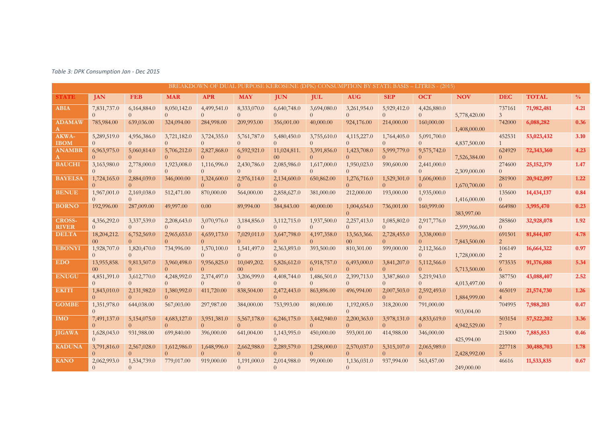|                               |                                |                         |                               |                         |                                |                                |                         | BREAKDOWN OF DUAL PURPOSE KEROSENE (DPK) CONSUMPTION BY STATE BASIS - LITRES - (2015) |                         |                         |              |                           |              |               |
|-------------------------------|--------------------------------|-------------------------|-------------------------------|-------------------------|--------------------------------|--------------------------------|-------------------------|---------------------------------------------------------------------------------------|-------------------------|-------------------------|--------------|---------------------------|--------------|---------------|
| <b>STATE</b>                  | <b>JAN</b>                     | <b>FEB</b>              | <b>MAR</b>                    | <b>APR</b>              | <b>MAY</b>                     | <b>IUN</b>                     | <b>IUL</b>              | <b>AUG</b>                                                                            | <b>SEP</b>              | <b>OCT</b>              | <b>NOV</b>   | <b>DEC</b>                | <b>TOTAL</b> | $\frac{0}{0}$ |
| <b>ABIA</b>                   | 7,831,737.0                    | 6,164,884.0<br>$\Omega$ | 8,050,142.0<br>$\Omega$       | 4,499,541.0<br>$\Omega$ | 8,333,070.0<br>$\Omega$        | 6,640,748.0<br>$\Omega$        | 3,694,080.0             | 3,261,954.0<br>$\Omega$                                                               | 5,929,412.0<br>$\Omega$ | 4,426,880.0<br>$\Omega$ | 5,778,420.00 | 737161<br>$\mathfrak{Z}$  | 71,982,481   | 4.21          |
| <b>ADAMAW</b>                 | 785,984.00                     | 639,036.00              | 324,094.00                    | 284,998.00              | 209,993.00                     | 356,001.00                     | 40,000.00               | 924,176.00                                                                            | 214,000.00              | 160,000.00              | 1,408,000.00 | 742000                    | 6,088,282    | 0.36          |
| AKWA-<br><b>IBOM</b>          | 5,289,519.0                    | 4,956,386.0             | 3,721,182.0                   | 3,724,355.0<br>$\Omega$ | 5,761,787.0                    | 5,480,450.0<br>$\Omega$        | 3,755,610.0             | 4,115,227.0<br>$\Omega$                                                               | 1,764,405.0             | 5,091,700.0<br>$\Omega$ | 4,837,500.00 | 452531                    | 53,023,432   | 3.10          |
| <b>ANAMBR</b>                 | 6,963,975.0                    | 5,060,814.0             | 5,706,212.0<br>$\Omega$       | 2,827,868.0<br>$\Omega$ | 6,592,921.0                    | 11,024,811.<br>00 <sup>1</sup> | 3,391,856.0             | 1,423,708.0<br>$\Omega$                                                               | 5,999,779.0             | 9,575,742.0<br>$\Omega$ | 7,526,384.00 | 624929<br>$\Omega$        | 72,343,360   | 4.23          |
| <b>BAUCHI</b>                 | 3,163,980.0                    | 2,778,000.0             | 1,923,008.0<br>$\Omega$       | 1,116,996.0<br>$\Omega$ | 2,430,786.0<br>$\Omega$        | 2,085,986.0<br>$\Omega$        | 1,617,000.0             | 1,950,023.0<br>$\Omega$                                                               | 590,600.00              | 2,441,000.0<br>$\Omega$ | 2,309,000.00 | 274600<br>$\overline{0}$  | 25, 152, 379 | 1.47          |
| <b>BAYELSA</b>                | 1,724,165.0                    | 2,884,039.0             | 346,000.00                    | 1,324,600.0             | 2,976,114.0                    | 2,134,600.0<br>$\Omega$        | 650,862.00              | 1,276,716.0<br>$\Omega$                                                               | 1,529,301.0             | 1,606,000.0<br>$\Omega$ | 1,670,700.00 | 281900<br>$\Omega$        | 20,942,097   | 1.22          |
| <b>BENUE</b>                  | 1,967,001.0                    | 2,169,038.0             | 512,471.00                    | 870,000.00              | 564,000.00                     | 2,858,627.0<br>$\Omega$        | 381,000.00              | 212,000.00                                                                            | 193,000.00              | 1,935,000.0<br>$\Omega$ | 1,416,000.00 | 135600<br>$\Omega$        | 14,434,137   | 0.84          |
| <b>BORNO</b>                  | 192,996.00                     | 287,009.00              | 49,997.00                     | 0.00                    | 89,994.00                      | 384,843.00                     | 40,000.00               | 1,004,654.0<br>$\Omega$                                                               | 736,001.00              | 160,999.00              | 383,997.00   | 664980                    | 3,995,470    | 0.23          |
| <b>CROSS-</b><br><b>RIVER</b> | 4,356,292.0                    | 3,337,539.0             | 2,208,643.0                   | 3,070,976.0             | 3,184,856.0                    | 3,112,715.0<br>$\Omega$        | 1,937,500.0             | 2,257,413.0<br>$\Omega$                                                               | 1,085,802.0             | 2,917,776.0<br>$\Omega$ | 2,599,966.00 | 285860<br>$\overline{0}$  | 32,928,078   | 1.92          |
| <b>DELTA</b>                  | 18,204,212.<br>00 <sup>1</sup> | 6,752,569.0             | 2,965,653.0                   | 4,659,173.0<br>$\Omega$ | 7,029,011.0                    | 3,647,798.0<br>$\Omega$        | 4,197,358.0             | 13,563,366.<br>0 <sup>0</sup>                                                         | 2,728,455.0             | 3,338,000.0<br>$\Omega$ | 7,843,500.00 | 691501<br>2               | 81,844,107   | 4.78          |
| <b>EBONYI</b>                 | 1,928,707.0                    | 1,820,470.0             | 734,996.00                    | 1,570,100.0<br>$\Omega$ | 1,541,497.0<br>$\Omega$        | 2,363,893.0<br>$\Omega$        | 393,500.00              | 810,301.00                                                                            | 599,000.00              | 2,112,366.0<br>$\Omega$ | 1,728,000.00 | 106149<br>$\overline{2}$  | 16,664,322   | 0.97          |
| <b>EDO</b>                    | 13,955,858.<br>$00 -$          | 9,813,507.0             | 3,960,498.0<br>$\Omega$       | 9,956,825.0<br>$\Omega$ | 10,049,202.<br>00 <sup>1</sup> | 5,826,612.0<br>$\Omega$        | 6,918,757.0             | 6,493,000.0<br>$\Omega$                                                               | 3,841,207.0<br>$\Omega$ | 5,112,566.0<br>$\Omega$ | 5,713,500.00 | 973535<br>6               | 91,376,888   | 5.34          |
| <b>ENUGU</b>                  | 4,851,391.0                    | 3,612,770.0<br>$\Omega$ | 4,248,992.0<br>$\overline{0}$ | 2,374,497.0<br>$\Omega$ | 3,206,999.0<br>$\Omega$        | 4,408,744.0<br>$\Omega$        | 1,486,501.0<br>$\Omega$ | 2,399,713.0<br>$\Omega$                                                               | 3,387,860.0<br>$\Omega$ | 5,219,943.0<br>$\Omega$ | 4,013,497.00 | 387750<br>$\overline{0}$  | 43,088,407   | 2.52          |
| <b>EKITI</b>                  | 1,843,010.0                    | 2,131,982.0<br>$\Omega$ | 1,380,992.0<br>$\Omega$       | 411,720.00              | 838,504.00                     | 2,472,443.0<br>$\Omega$        | 863,896.00              | 496,994.00                                                                            | 2,007,503.0<br>$\Omega$ | 2,592,493.0<br>$\Omega$ | 1,884,999.00 | 465019                    | 21,574,730   | 1.26          |
| <b>GOMBE</b>                  | 1,351,978.0                    | 644,038.00              | 567,003.00                    | 297,987.00              | 384,000.00                     | 753,993.00                     | 80,000.00               | 1,192,005.0<br>$\Omega$                                                               | 318,200.00              | 791,000.00              | 903,004.00   | 704995                    | 7,988,203    | 0.47          |
| <b>IMO</b>                    | 7,491,137.0                    | 5,154,075.0<br>$\Omega$ | 4,683,127.0<br>$\Omega$       | 3,951,381.0<br>$\Omega$ | 5,567,178.0                    | 6,246,175.0<br>$\Omega$        | 3,442,940.0             | 2,200,363.0<br>$\Omega$                                                               | 3,978,131.0             | 4,833,619.0<br>$\Omega$ | 4,942,529.00 | 503154                    | 57,522,202   | 3.36          |
| <b>JIGAWA</b>                 | 1,628,043.0                    | 931,988.00              | 699,840.00                    | 396,000.00              | 641,004.00                     | 1,143,995.0                    | 450,000.00              | 593,001.00                                                                            | 414,988.00              | 346,000.00              | 425,994.00   | 215000                    | 7,885,853    | 0.46          |
| <b>KADUNA</b>                 | 3,791,816.0                    | 2,567,028.0             | 1,612,986.0                   | 1,648,996.0<br>$\Omega$ | 2,662,988.0<br>$\Omega$        | 2,289,579.0<br>$\Omega$        | 1,258,000.0             | 2,570,037.0<br>$\Omega$                                                               | 5,315,107.0             | 2,065,989.0<br>$\Omega$ | 2,428,992.00 | 227718<br>$5\overline{)}$ | 30,488,703   | 1.78          |
| <b>KANO</b>                   | 2,062,993.0                    | 1,534,739.0             | 779,017.00                    | 919,000.00              | 1,191,000.0<br>$\Omega$        | 2,014,988.0<br>$\Omega$        | 99,000.00               | 1,136,031.0<br>$\Omega$                                                               | 937,994.00              | 563,457.00              | 249,000.00   | 46616                     | 11,533,835   | 0.67          |

*Table 3: DPK Consumption Jan - Dec 2015*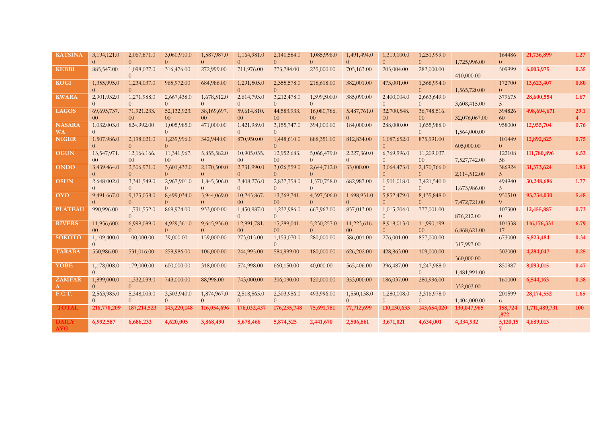| <b>KATSINA</b>      | 3,194,121.0                    | 2,067,871.0                   | 3,060,910.0                   | 1,587,987.0                   | 1,164,981.0                    | 2,141,584.0<br>$\Omega$        | 1,085,996.0                   | 1,491,494.0<br>$\Omega$       | 1,319,100.0                   | 1,251,999.0<br>$\Omega$       | 1,725,996.00  | 164486<br>$\Omega$       | 21,736,899    | 1.27                   |
|---------------------|--------------------------------|-------------------------------|-------------------------------|-------------------------------|--------------------------------|--------------------------------|-------------------------------|-------------------------------|-------------------------------|-------------------------------|---------------|--------------------------|---------------|------------------------|
| <b>KEBBI</b>        | 885,547.00                     | 1,098,027.0                   | 316,476.00                    | 272,999.00                    | 711,976.00                     | 373,784.00                     | 235,000.00                    | 705,163.00                    | 203,004.00                    | 282,000.00                    | 410,000.00    | 509999                   | 6,003,975     | 0.35                   |
| <b>KOGI</b>         | 1,355,995.0                    | 1,234,037.0                   | 965,972.00                    | 684,986.00                    | 1,291,505.0                    | 2,355,578.0<br>$\Omega$        | 218,618.00                    | 382,001.00                    | 473,001.00                    | 1,368,994.0<br>$\Omega$       | 1,565,720.00  | 172700<br>$\Omega$       | 13,623,407    | 0.80                   |
| <b>KWARA</b>        | 2,901,932.0                    | 1,271,988.0                   | 2,667,438.0<br>$\Omega$       | 1,678,512.0<br>$\Omega$       | 2,614,793.0<br>$\Omega$        | 3,212,478.0<br>$\Omega$        | 1,399,500.0                   | 385,090.00                    | 2,400,004.0<br>$\Omega$       | 2,663,649.0<br>$\Omega$       | 3,608,415.00  | 379675<br>5              | 28,600,554    | 1.67                   |
| <b>LAGOS</b>        | 69,695,737.<br>0 <sup>0</sup>  | 71,921,233.<br>0 <sup>0</sup> | 52,132,923.<br>0 <sup>0</sup> | 38,169,697.<br>0 <sup>0</sup> | 59,614,810.<br>0 <sup>0</sup>  | 44,583,933.<br>00 <sup>1</sup> | 16,080,786.<br>0 <sup>0</sup> | 5,487,761.0<br>$\Omega$       | 32,700,548.<br>0 <sup>0</sup> | 36,748,516.<br>0 <sup>0</sup> | 32,076,067.00 | 394826<br>60             | 498,694,671   | 29.1<br>$\overline{4}$ |
| <b>NASARA</b><br>WA | 1,032,003.0                    | 824,992.00                    | 1,005,985.0                   | 471,000.00                    | 1,421,989.0                    | 3,155,747.0                    | 394,000.00                    | 184,000.00                    | 288,000.00                    | 1,655,988.0<br>$\Omega$       | 1,564,000.00  | 958000                   | 12,955,704    | 0.76                   |
| <b>NIGER</b>        | 1,507,986.0                    | 2,198,021.0                   | 1,239,996.0                   | 342,944.00                    | 870,950.00                     | 1,448,610.0                    | 888,351.00                    | 812,834.00                    | 1,087,652.0<br>$\Omega$       | 875,991.00                    | 605,000.00    | 101449<br>$\Omega$       | 12,892,825    | 0.75                   |
| <b>OGUN</b>         | 13,547,971.<br>00 <sup>1</sup> | 12,166,166.<br>0 <sup>0</sup> | 11,341,967.<br>0 <sup>0</sup> | 5,855,582.0<br>$\Omega$       | 10,905,055.<br>00 <sup>1</sup> | 12,952,683.<br>0 <sup>0</sup>  | 5,066,479.0<br>$\Omega$       | 2,227,360.0<br>$\Omega$       | 6,769,996.0<br>$\Omega$       | 11,209,037.<br>0 <sup>0</sup> | 7,527,742.00  | 122108<br>58             | 111,780,896   | 6.53                   |
| <b>ONDO</b>         | 3,439,464.0                    | 2,506,971.0                   | 3,601,432.0<br>$\Omega$       | 2,170,500.0<br>$\Omega$       | 2,731,990.0<br>$\Omega$        | 3,026,559.0<br>$\Omega$        | 2,644,712.0                   | 33,000.00                     | 3,064,473.0<br>$\Omega$       | 2,170,766.0<br>$\Omega$       | 2,114,512.00  | 386924<br>$\overline{5}$ | 31,373,624    | 1.83                   |
| <b>OSUN</b>         | 2,648,002.0                    | 3,341,549.0                   | 2,967,901.0                   | 1,845,506.0                   | 2,408,276.0<br>0               | 2,837,758.0<br>$\Omega$        | 1,570,758.0                   | 682,987.00                    | 1,901,018.0<br>$\Omega$       | 3,421,540.0<br>$\Omega$       | 1,673,986.00  | 494940<br>5              | 30,248,686    | 1.77                   |
| <b>OYO</b>          | 9,491,667.0                    | 9,123,058.0                   | 8,499,034.0<br>$\Omega$       | 5,944,069.0<br>$\Omega$       | 10,243,867.<br>00 <sup>1</sup> | 13,369,741.<br>00 <sup>1</sup> | 4,397,506.0                   | 1,698,931.0<br>$\Omega$       | 5,852,479.0<br>$\Omega$       | 8,135,848.0<br>$\Omega$       | 7,472,721.00  | 950510<br>9              | 93,734,030    | 5.48                   |
| <b>PLATEAU</b>      | 990,996.00                     | 1,731,552.0                   | 869,974.00                    | 933,000.00                    | 1,450,987.0<br>$\Omega$        | 1,232,986.0<br>$\Omega$        | 667,962.00                    | 837,013.00                    | 1,015,204.0<br>$\Omega$       | 777,001.00                    | 876,212.00    | 107300<br>$\Omega$       | 12,455,887    | 0.73                   |
| <b>RIVERS</b>       | 11,956,600.<br>0 <sup>0</sup>  | 6,999,089.0                   | 4,929,361.0<br>$\Omega$       | 9,645,936.0<br>$\Omega$       | 12,991,781.<br>0 <sup>0</sup>  | 15,289,041.<br>0 <sup>0</sup>  | 5,230,257.0<br>$\Omega$       | 11,223,616.<br>0 <sup>0</sup> | 8,918,013.0<br>$\Omega$       | 11,990,199.<br>0 <sup>0</sup> | 6,868,621.00  | 101338<br>17             | 116, 176, 331 | 6.79                   |
| <b>SOKOTO</b>       | 1,109,400.0                    | 100,000.00                    | 39,000.00                     | 159,000.00                    | 273,015.00                     | 1,153,070.0                    | 280,000.00                    | 586,001.00                    | 276,001.00                    | 857,000.00                    | 317,997.00    | 673000                   | 5,823,484     | 0.34                   |
| <b>TARABA</b>       | 550,986.00                     | 531,016.00                    | 259,986.00                    | 106,000.00                    | 244,995.00                     | 584,999.00                     | 180,000.00                    | 626,202.00                    | 428,863.00                    | 109,000.00                    | 360,000.00    | 302000                   | 4,284,047     | 0.25                   |
| <b>YOBE</b>         | 1,178,008.0                    | 179,000.00                    | 600,000.00                    | 318,000.00                    | 574,998.00                     | 660,150.00                     | 40,000.00                     | 565,406.00                    | 396,487.00                    | 1,247,988.0<br>$\Omega$       | 1,481,991.00  | 850987                   | 8,093,015     | 0.47                   |
| <b>ZAMFAR</b>       | 1,899,000.0                    | 1,332,039.0                   | 743,000.00                    | 88,998.00                     | 743,000.00                     | 306,090.00                     | 120,000.00                    | 353,000.00                    | 186,037.00                    | 280,996.00                    | 332,003.00    | 160000                   | 6,544,163     | 0.38                   |
| F.C.T.              | 2,563,985.0                    | 5,348,003.0                   | 3,503,940.0                   | 1,874,967.0                   | 2,518,565.0                    | 2,303,956.0                    | 493,996.00                    | 1,550,158.0                   | 1,280,008.0<br>$\Omega$       | 3,316,978.0<br>$\Omega$       | 1,404,000.00  | 201599<br>6              | 28,174,552    | 1.65                   |
| <b>TOTAL</b>        | 216,770,209                    | 187, 214, 523                 | 143,220,148                   | 116,054,696                   | 176,032,437                    | 176, 235, 748                  | 75,691,781                    | 77,712,699                    | 110,130,633                   | 143,654,020                   | 130,047,965   | 158,724<br>,872          | 1,711,489,731 | 100                    |
| <b>DAILY</b><br>AVG | 6,992,587                      | 6,686,233                     | 4,620,005                     | 3,868,490                     | 5,678,466                      | 5,874,525                      | 2,441,670                     | 2,506,861                     | 3,671,021                     | 4,634,001                     | 4,334,932     | 5,120,15<br>$7^{\circ}$  | 4,689,013     |                        |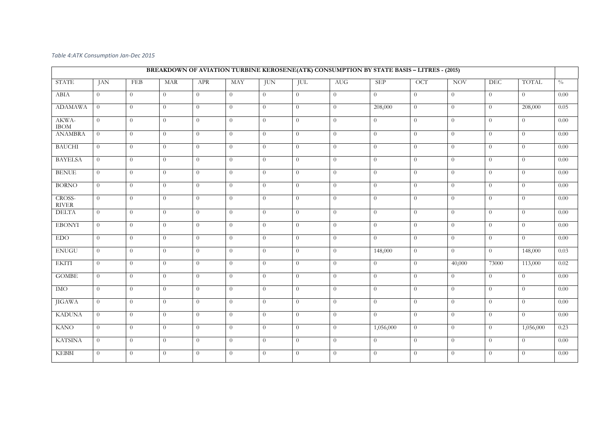## *Table 4:ATK Consumption Jan-Dec 2015*

|                        |                |                |                |                |                |                |                | BREAKDOWN OF AVIATION TURBINE KEROSENE(ATK) CONSUMPTION BY STATE BASIS - LITRES - (2015) |                |                |                |                |                      |               |
|------------------------|----------------|----------------|----------------|----------------|----------------|----------------|----------------|------------------------------------------------------------------------------------------|----------------|----------------|----------------|----------------|----------------------|---------------|
| <b>STATE</b>           | JAN            | FEB            | <b>MAR</b>     | APR            | <b>MAY</b>     | <b>JUN</b>     | JUL            | <b>AUG</b>                                                                               | <b>SEP</b>     | <b>OCT</b>     | <b>NOV</b>     | <b>DEC</b>     | <b>TOTAL</b>         | $\frac{0}{0}$ |
| ABIA                   | $\Omega$       | $\overline{0}$ | $\overline{0}$ | $\Omega$       | $\overline{0}$ | $\Omega$       | $\Omega$       | $\theta$                                                                                 | $\overline{0}$ | $\theta$       | $\overline{0}$ | $\Omega$       | $\Omega$             | 0.00          |
| <b>ADAMAWA</b>         | $\overline{0}$ | $\Omega$       | $\theta$       | $\theta$       | $\overline{0}$ | $\theta$       | $\overline{0}$ | $\theta$                                                                                 | 208,000        | $\theta$       | $\overline{0}$ | $\theta$       | 208,000              | 0.05          |
| AKWA-<br><b>IBOM</b>   | $\overline{0}$ | $\Omega$       | $\theta$       | $\Omega$       | $\overline{0}$ | $\theta$       | $\overline{0}$ | $\Omega$                                                                                 | $\overline{0}$ | $\theta$       | $\overline{0}$ | $\overline{0}$ | $\overline{0}$       | 0.00          |
| <b>ANAMBRA</b>         | $\overline{0}$ | $\overline{0}$ | $\theta$       | $\theta$       | $\overline{0}$ | $\overline{0}$ | $\overline{0}$ | $\theta$                                                                                 | $\overline{0}$ | $\theta$       | $\overline{0}$ | $\theta$       | $\overline{0}$       | 0.00          |
| <b>BAUCHI</b>          | $\overline{0}$ | $\overline{0}$ | $\theta$       | $\theta$       | $\overline{0}$ | $\overline{0}$ | $\overline{0}$ | $\overline{0}$                                                                           | $\theta$       | $\theta$       | $\overline{0}$ | $\theta$       | $\overline{0}$       | 0.00          |
| <b>BAYELSA</b>         | $\overline{0}$ | $\theta$       | $\theta$       | $\theta$       | $\overline{0}$ | $\theta$       | $\overline{0}$ | $\theta$                                                                                 | $\theta$       | $\theta$       | $\overline{0}$ | $\overline{0}$ | $\overline{0}$       | 0.00          |
| <b>BENUE</b>           | $\overline{0}$ | $\theta$       | $\overline{0}$ | $\theta$       | $\overline{0}$ | $\overline{0}$ | $\theta$       | $\theta$                                                                                 | $\theta$       | $\theta$       | $\overline{0}$ | $\theta$       | $\overline{0}$       | 0.00          |
| <b>BORNO</b>           | $\overline{0}$ | $\overline{0}$ | $\theta$       | $\overline{0}$ | $\overline{0}$ | $\theta$       | $\overline{0}$ | $\theta$                                                                                 | $\overline{0}$ | $\theta$       | $\overline{0}$ | $\theta$       | $\overline{0}$       | 0.00          |
| CROSS-<br><b>RIVER</b> | $\theta$       | $\theta$       | $\theta$       | $\Omega$       | $\overline{0}$ | $\theta$       | $\overline{0}$ | $\Omega$                                                                                 | $\overline{0}$ | $\theta$       | $\overline{0}$ | $\theta$       | $\overline{0}$       | 0.00          |
| <b>DELTA</b>           | $\overline{0}$ | $\theta$       | $\theta$       | $\theta$       | $\overline{0}$ | $\overline{0}$ | $\theta$       | $\overline{0}$                                                                           | $\theta$       | $\overline{0}$ | $\overline{0}$ | $\overline{0}$ | $\theta$             | 0.00          |
| <b>EBONYI</b>          | $\overline{0}$ | $\overline{0}$ | $\overline{0}$ | $\theta$       | $\overline{0}$ | $\theta$       | $\overline{0}$ | $\overline{0}$                                                                           | $\theta$       | $\theta$       | $\overline{0}$ | $\overline{0}$ | $\overline{0}$       | 0.00          |
| <b>EDO</b>             | $\overline{0}$ | $\overline{0}$ | $\theta$       | $\theta$       | $\overline{0}$ | $\overline{0}$ | $\overline{0}$ | $\overline{0}$                                                                           | $\theta$       | $\theta$       | $\overline{0}$ | $\overline{0}$ | $\overline{0}$       | 0.00          |
| <b>ENUGU</b>           | $\overline{0}$ | $\theta$       | $\overline{0}$ | $\theta$       | $\overline{0}$ | $\theta$       | $\overline{0}$ | $\overline{0}$                                                                           | 148,000        | $\theta$       | $\overline{0}$ | $\theta$       | 148,000              | 0.03          |
| <b>EKITI</b>           | $\overline{0}$ | $\Omega$       | $\theta$       | $\theta$       | $\overline{0}$ | $\theta$       | $\overline{0}$ | $\theta$                                                                                 | $\overline{0}$ | $\overline{0}$ | 40,000         | 73000          | $\overline{113,000}$ | 0.02          |
| <b>GOMBE</b>           | $\overline{0}$ | $\theta$       | $\theta$       | $\theta$       | $\overline{0}$ | $\overline{0}$ | $\overline{0}$ | $\overline{0}$                                                                           | $\theta$       | $\theta$       | $\overline{0}$ | $\theta$       | $\overline{0}$       | 0.00          |
| IMO                    | $\overline{0}$ | $\overline{0}$ | $\overline{0}$ | $\theta$       | $\overline{0}$ | $\theta$       | $\overline{0}$ | $\theta$                                                                                 | $\theta$       | $\theta$       | $\overline{0}$ | $\overline{0}$ | $\overline{0}$       | 0.00          |
| <b>JIGAWA</b>          | $\theta$       | $\Omega$       | $\overline{0}$ | $\theta$       | $\overline{0}$ | $\overline{0}$ | $\Omega$       | $\Omega$                                                                                 | $\theta$       | $\theta$       | $\overline{0}$ | $\Omega$       | $\overline{0}$       | 0.00          |
| <b>KADUNA</b>          | $\overline{0}$ | $\theta$       | $\theta$       | $\Omega$       | $\overline{0}$ | $\Omega$       | $\Omega$       | $\theta$                                                                                 | $\overline{0}$ | $\overline{0}$ | $\overline{0}$ | $\Omega$       | $\Omega$             | 0.00          |
| <b>KANO</b>            | $\overline{0}$ | $\Omega$       | $\overline{0}$ | $\Omega$       | $\overline{0}$ | $\overline{0}$ | $\Omega$       | $\overline{0}$                                                                           | 1,056,000      | $\overline{0}$ | $\theta$       | $\Omega$       | 1,056,000            | 0.23          |
| <b>KATSINA</b>         | $\theta$       | $\theta$       | $\theta$       | $\Omega$       | $\overline{0}$ | $\Omega$       | $\overline{0}$ | $\Omega$                                                                                 | $\theta$       | $\overline{0}$ | $\overline{0}$ | $\theta$       | $\overline{0}$       | 0.00          |
| <b>KEBBI</b>           | $\overline{0}$ | $\theta$       | $\theta$       | $\Omega$       | $\overline{0}$ | $\theta$       | $\Omega$       | $\theta$                                                                                 | $\theta$       | $\theta$       | $\Omega$       | $\theta$       | $\theta$             | 0.00          |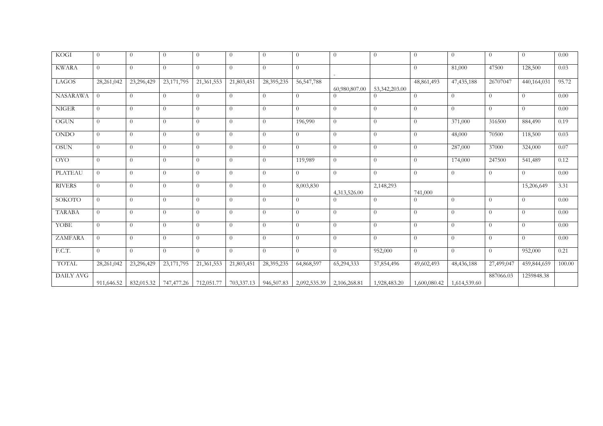| <b>KOGI</b>     | $\overline{0}$ | $\Omega$   | $\theta$   | $\Omega$   | $\Omega$       | $\overline{0}$ | $\Omega$     | $\theta$       | $\theta$       | $\Omega$     | $\Omega$     | $\theta$       | $\Omega$       | 0.00   |
|-----------------|----------------|------------|------------|------------|----------------|----------------|--------------|----------------|----------------|--------------|--------------|----------------|----------------|--------|
| <b>KWARA</b>    | $\overline{0}$ | $\Omega$   | $\theta$   | $\Omega$   | $\overline{0}$ | $\overline{0}$ | $\Omega$     |                |                | $\Omega$     | 81,000       | 47500          | 128,500        | 0.03   |
| LAGOS           | 28,261,042     | 23,296,429 | 23,171,795 | 21,361,553 | 21,803,451     | 28,395,235     | 56, 547, 788 | 60,980,807.00  | 53,342,203.00  | 48,861,493   | 47, 435, 188 | 26707047       | 440,164,031    | 95.72  |
| <b>NASARAWA</b> | $\theta$       | $\Omega$   | $\theta$   | $\Omega$   | $\Omega$       | $\overline{0}$ | $\Omega$     | $\Omega$       | $\Omega$       | $\Omega$     | $\Omega$     | $\overline{0}$ | $\Omega$       | 0.00   |
| <b>NIGER</b>    | $\overline{0}$ | $\Omega$   | $\theta$   | $\theta$   | $\overline{0}$ | $\overline{0}$ | $\theta$     | $\overline{0}$ | $\theta$       | $\Omega$     | $\Omega$     | $\overline{0}$ | $\overline{0}$ | 0.00   |
| <b>OGUN</b>     | $\overline{0}$ | $\theta$   | $\theta$   | $\Omega$   | $\Omega$       | $\overline{0}$ | 196,990      | $\theta$       | $\theta$       | $\Omega$     | 371,000      | 316500         | 884,490        | 0.19   |
| <b>ONDO</b>     | $\overline{0}$ | $\theta$   | $\theta$   | $\Omega$   | $\overline{0}$ | $\overline{0}$ | $\theta$     | $\theta$       | $\theta$       | $\Omega$     | 48,000       | 70500          | 118,500        | 0.03   |
| <b>OSUN</b>     | $\theta$       | $\Omega$   | $\theta$   | $\Omega$   | $\Omega$       | $\overline{0}$ | $\Omega$     | $\overline{0}$ | $\theta$       | $\Omega$     | 287,000      | 37000          | 324,000        | 0.07   |
| <b>OYO</b>      | $\overline{0}$ | $\theta$   | $\theta$   | $\Omega$   | $\overline{0}$ | $\overline{0}$ | 119,989      | $\overline{0}$ | $\theta$       | $\Omega$     | 174,000      | 247500         | 541,489        | 0.12   |
| <b>PLATEAU</b>  | $\Omega$       | $\Omega$   | $\theta$   | $\Omega$   | $\Omega$       | $\overline{0}$ | $\Omega$     | $\overline{0}$ | $\Omega$       | $\Omega$     | $\Omega$     | $\theta$       | $\Omega$       | 0.00   |
| <b>RIVERS</b>   | $\theta$       | $\Omega$   | $\Omega$   | $\theta$   | $\overline{0}$ | $\overline{0}$ | 8,003,830    | 4,313,526.00   | 2,148,293      | 741,000      |              |                | 15,206,649     | 3.31   |
| SOKOTO          | $\theta$       | $\Omega$   | $\theta$   | $\Omega$   | $\Omega$       | $\theta$       | $\Omega$     | $\Omega$       | $\Omega$       | $\Omega$     | $\Omega$     | $\theta$       | $\Omega$       | 0.00   |
| <b>TARABA</b>   | $\theta$       | $\Omega$   | $\theta$   | $\Omega$   | $\Omega$       | $\overline{0}$ | $\Omega$     | $\overline{0}$ | $\theta$       | $\Omega$     | $\Omega$     | $\overline{0}$ | $\Omega$       | 0.00   |
| YOBE            | $\theta$       | $\Omega$   | $\theta$   | $\Omega$   | $\theta$       | $\overline{0}$ | $\Omega$     | $\overline{0}$ | $\theta$       | $\Omega$     | $\Omega$     | $\overline{0}$ | $\theta$       | 0.00   |
| <b>ZAMFARA</b>  | $\overline{0}$ | $\Omega$   | $\theta$   | $\Omega$   | $\theta$       | $\overline{0}$ | $\Omega$     | $\overline{0}$ | $\overline{0}$ | $\Omega$     | $\Omega$     | $\overline{0}$ | $\overline{0}$ | 0.00   |
| F.C.T.          | $\theta$       | $\Omega$   | $\theta$   | $\Omega$   | $\Omega$       | $\theta$       | $\Omega$     | $\theta$       | 952,000        | $\Omega$     | $\Omega$     | $\theta$       | 952,000        | 0.21   |
| <b>TOTAL</b>    | 28,261,042     | 23,296,429 | 23,171,795 | 21,361,553 | 21,803,451     | 28,395,235     | 64,868,597   | 65,294,333     | 57,854,496     | 49,602,493   | 48,436,188   | 27,499,047     | 459,844,659    | 100.00 |
| DAILY AVG       | 911,646.52     | 832,015.32 | 747,477.26 | 712,051.77 | 703,337.13     | 946,507.83     | 2,092,535.39 | 2,106,268.81   | 1,928,483.20   | 1,600,080.42 | 1,614,539.60 | 887066.03      | 1259848.38     |        |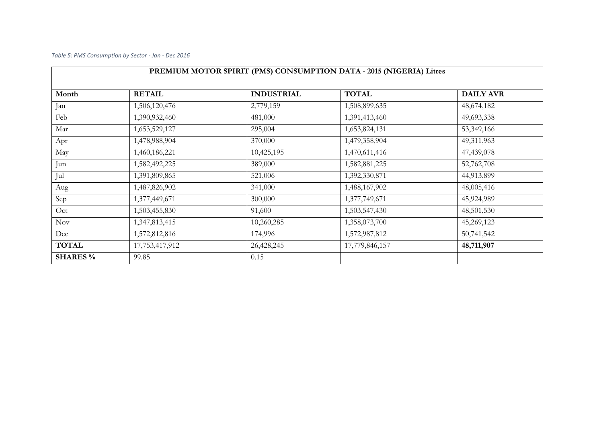*Table 5: PMS Consumption by Sector - Jan - Dec 2016*

|                 |                | PREMIUM MOTOR SPIRIT (PMS) CONSUMPTION DATA - 2015 (NIGERIA) Litres |                |                  |
|-----------------|----------------|---------------------------------------------------------------------|----------------|------------------|
| Month           | <b>RETAIL</b>  | <b>INDUSTRIAL</b>                                                   | <b>TOTAL</b>   | <b>DAILY AVR</b> |
| Jan             | 1,506,120,476  | 2,779,159                                                           | 1,508,899,635  | 48,674,182       |
| Feb             | 1,390,932,460  | 481,000                                                             | 1,391,413,460  | 49,693,338       |
| Mar             | 1,653,529,127  | 295,004                                                             | 1,653,824,131  | 53,349,166       |
| Apr             | 1,478,988,904  | 370,000                                                             | 1,479,358,904  | 49,311,963       |
| May             | 1,460,186,221  | 10,425,195                                                          | 1,470,611,416  | 47,439,078       |
| Jun             | 1,582,492,225  | 389,000                                                             | 1,582,881,225  | 52,762,708       |
| Jul             | 1,391,809,865  | 521,006                                                             | 1,392,330,871  | 44,913,899       |
| Aug             | 1,487,826,902  | 341,000                                                             | 1,488,167,902  | 48,005,416       |
| Sep             | 1,377,449,671  | 300,000                                                             | 1,377,749,671  | 45,924,989       |
| Oct             | 1,503,455,830  | 91,600                                                              | 1,503,547,430  | 48,501,530       |
| Nov             | 1,347,813,415  | 10,260,285                                                          | 1,358,073,700  | 45,269,123       |
| Dec             | 1,572,812,816  | 174,996                                                             | 1,572,987,812  | 50,741,542       |
| <b>TOTAL</b>    | 17,753,417,912 | 26,428,245                                                          | 17,779,846,157 | 48,711,907       |
| <b>SHARES</b> % | 99.85          | 0.15                                                                |                |                  |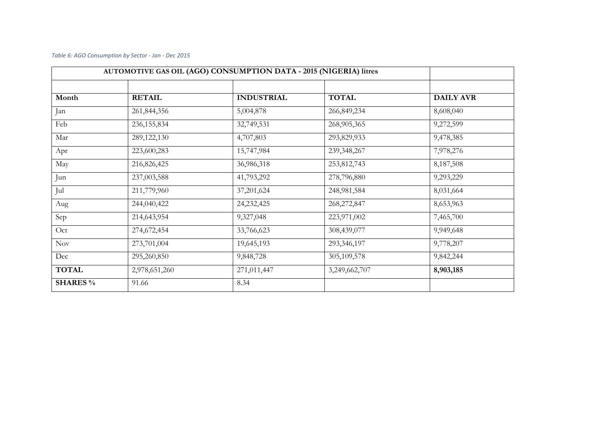## *Table 6: AGO Consumption by Sector - Jan - Dec 2015*

|                 | AUTOMOTIVE GAS OIL (AGO) CONSUMPTION DATA - 2015 (NIGERIA) litres |                   |               |                  |
|-----------------|-------------------------------------------------------------------|-------------------|---------------|------------------|
|                 |                                                                   |                   |               |                  |
| Month           | <b>RETAIL</b>                                                     | <b>INDUSTRIAL</b> | <b>TOTAL</b>  | <b>DAILY AVR</b> |
| Jan             | 261,844,356                                                       | 5,004,878         | 266,849,234   | 8,608,040        |
| Feb             | 236, 155, 834                                                     | 32,749,531        | 268,905,365   | 9,272,599        |
| Mar             | 289,122,130                                                       | 4,707,803         | 293,829,933   | 9,478,385        |
| Apr             | 223,600,283                                                       | 15,747,984        | 239,348,267   | 7,978,276        |
| May             | 216,826,425                                                       | 36,986,318        | 253,812,743   | 8,187,508        |
| Jun             | 237,003,588                                                       | 41,793,292        | 278,796,880   | 9,293,229        |
| Jul             | 211,779,960                                                       | 37,201,624        | 248,981,584   | 8,031,664        |
| Aug             | 244,040,422                                                       | 24, 232, 425      | 268,272,847   | 8,653,963        |
| Sep             | 214,643,954                                                       | 9,327,048         | 223,971,002   | 7,465,700        |
| Oct             | 274,672,454                                                       | 33,766,623        | 308,439,077   | 9,949,648        |
| Nov             | 273,701,004                                                       | 19,645,193        | 293,346,197   | 9,778,207        |
| Dec             | 295,260,850                                                       | 9,848,728         | 305,109,578   | 9,842,244        |
| <b>TOTAL</b>    | 2,978,651,260                                                     | 271,011,447       | 3,249,662,707 | 8,903,185        |
| <b>SHARES</b> % | 91.66                                                             | 8.34              |               |                  |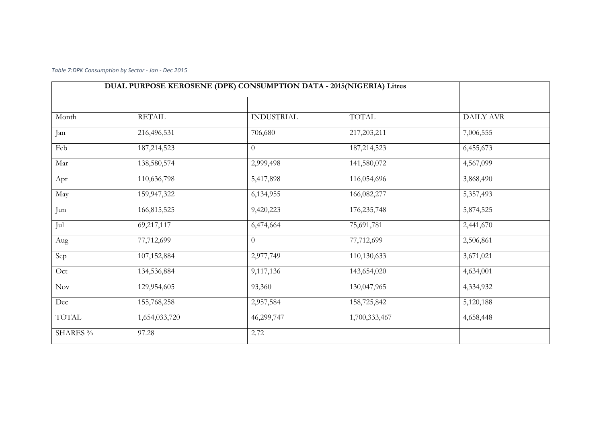*Table 7:DPK Consumption by Sector - Jan - Dec 2015*

| DUAL PURPOSE KEROSENE (DPK) CONSUMPTION DATA - 2015(NIGERIA) Litres |               |                   |               |                  |
|---------------------------------------------------------------------|---------------|-------------------|---------------|------------------|
|                                                                     |               |                   |               |                  |
| Month                                                               | <b>RETAIL</b> | <b>INDUSTRIAL</b> | <b>TOTAL</b>  | <b>DAILY AVR</b> |
| Jan                                                                 | 216,496,531   | 706,680           | 217, 203, 211 | 7,006,555        |
| Feb                                                                 | 187, 214, 523 | $\theta$          | 187, 214, 523 | 6,455,673        |
| Mar                                                                 | 138,580,574   | 2,999,498         | 141,580,072   | 4,567,099        |
| Apr                                                                 | 110,636,798   | 5,417,898         | 116,054,696   | 3,868,490        |
| May                                                                 | 159,947,322   | 6,134,955         | 166,082,277   | 5,357,493        |
| Jun                                                                 | 166,815,525   | 9,420,223         | 176, 235, 748 | 5,874,525        |
| Jul                                                                 | 69,217,117    | 6,474,664         | 75,691,781    | 2,441,670        |
| Aug                                                                 | 77,712,699    | $\overline{0}$    | 77,712,699    | 2,506,861        |
| Sep                                                                 | 107,152,884   | 2,977,749         | 110,130,633   | 3,671,021        |
| Oct                                                                 | 134,536,884   | 9,117,136         | 143,654,020   | 4,634,001        |
| Nov                                                                 | 129,954,605   | 93,360            | 130,047,965   | 4,334,932        |
| Dec                                                                 | 155,768,258   | 2,957,584         | 158,725,842   | 5,120,188        |
| <b>TOTAL</b>                                                        | 1,654,033,720 | 46,299,747        | 1,700,333,467 | 4,658,448        |
| <b>SHARES</b> %                                                     | 97.28         | 2.72              |               |                  |